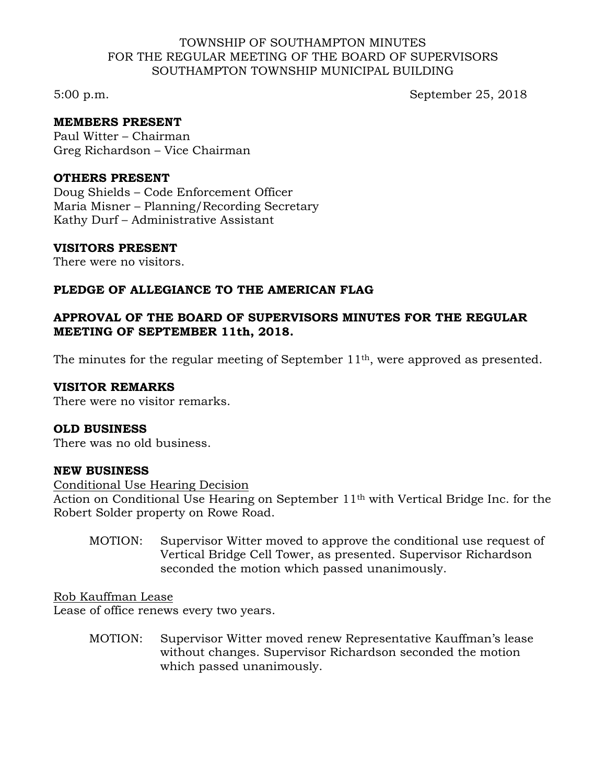## TOWNSHIP OF SOUTHAMPTON MINUTES FOR THE REGULAR MEETING OF THE BOARD OF SUPERVISORS SOUTHAMPTON TOWNSHIP MUNICIPAL BUILDING

5:00 p.m. September 25, 2018

# **MEMBERS PRESENT**

Paul Witter – Chairman Greg Richardson – Vice Chairman

#### **OTHERS PRESENT**

Doug Shields – Code Enforcement Officer Maria Misner – Planning/Recording Secretary Kathy Durf – Administrative Assistant

### **VISITORS PRESENT**

There were no visitors.

# **PLEDGE OF ALLEGIANCE TO THE AMERICAN FLAG**

# **APPROVAL OF THE BOARD OF SUPERVISORS MINUTES FOR THE REGULAR MEETING OF SEPTEMBER 11th, 2018.**

The minutes for the regular meeting of September 11<sup>th</sup>, were approved as presented.

# **VISITOR REMARKS**

There were no visitor remarks.

#### **OLD BUSINESS**

There was no old business.

#### **NEW BUSINESS**

#### Conditional Use Hearing Decision

Action on Conditional Use Hearing on September 11<sup>th</sup> with Vertical Bridge Inc. for the Robert Solder property on Rowe Road.

MOTION: Supervisor Witter moved to approve the conditional use request of Vertical Bridge Cell Tower, as presented. Supervisor Richardson seconded the motion which passed unanimously.

Rob Kauffman Lease

Lease of office renews every two years.

MOTION: Supervisor Witter moved renew Representative Kauffman's lease without changes. Supervisor Richardson seconded the motion which passed unanimously.